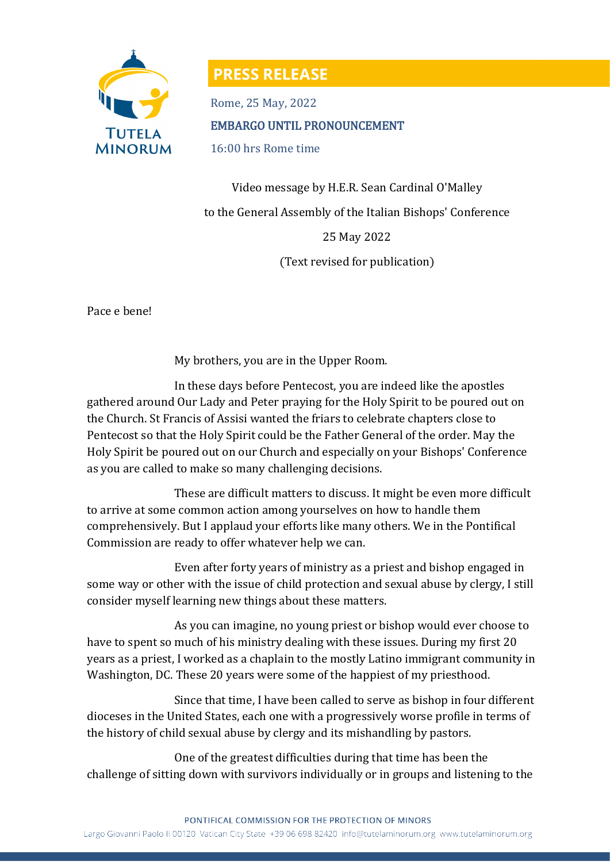

## **PRESS RELEASE**

Rome, 25 May, 2022 EMBARGO UNTIL PRONOUNCEMENT 16:00 hrs Rome time

Video message by H.E.R. Sean Cardinal O'Malley to the General Assembly of the Italian Bishops' Conference 25 May 2022 (Text revised for publication)

Pace e bene!

My brothers, you are in the Upper Room.

In these days before Pentecost, you are indeed like the apostles gathered around Our Lady and Peter praying for the Holy Spirit to be poured out on the Church. St Francis of Assisi wanted the friars to celebrate chapters close to Pentecost so that the Holy Spirit could be the Father General of the order. May the Holy Spirit be poured out on our Church and especially on your Bishops' Conference as you are called to make so many challenging decisions.

These are difficult matters to discuss. It might be even more difficult to arrive at some common action among yourselves on how to handle them comprehensively. But I applaud your efforts like many others. We in the Pontifical Commission are ready to offer whatever help we can.

Even after forty years of ministry as a priest and bishop engaged in some way or other with the issue of child protection and sexual abuse by clergy, I still consider myself learning new things about these matters.

As you can imagine, no young priest or bishop would ever choose to have to spent so much of his ministry dealing with these issues. During my first 20 years as a priest, I worked as a chaplain to the mostly Latino immigrant community in Washington, DC. These 20 years were some of the happiest of my priesthood.

Since that time, I have been called to serve as bishop in four different dioceses in the United States, each one with a progressively worse profile in terms of the history of child sexual abuse by clergy and its mishandling by pastors.

One of the greatest difficulties during that time has been the challenge of sitting down with survivors individually or in groups and listening to the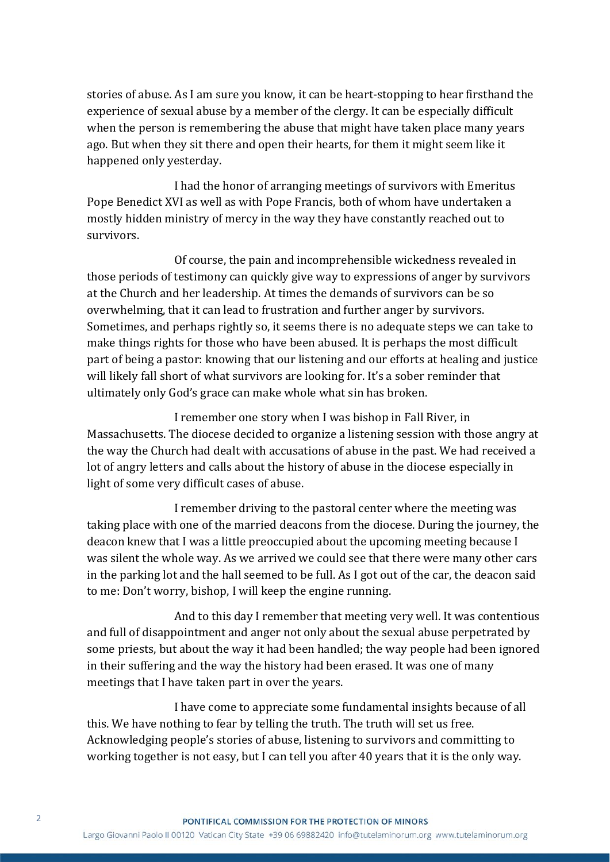stories of abuse. As I am sure you know, it can be heart-stopping to hear firsthand the experience of sexual abuse by a member of the clergy. It can be especially difficult when the person is remembering the abuse that might have taken place many years ago. But when they sit there and open their hearts, for them it might seem like it happened only yesterday.

I had the honor of arranging meetings of survivors with Emeritus Pope Benedict XVI as well as with Pope Francis, both of whom have undertaken a mostly hidden ministry of mercy in the way they have constantly reached out to survivors.

Of course, the pain and incomprehensible wickedness revealed in those periods of testimony can quickly give way to expressions of anger by survivors at the Church and her leadership. At times the demands of survivors can be so overwhelming, that it can lead to frustration and further anger by survivors. Sometimes, and perhaps rightly so, it seems there is no adequate steps we can take to make things rights for those who have been abused. It is perhaps the most difficult part of being a pastor: knowing that our listening and our efforts at healing and justice will likely fall short of what survivors are looking for. It's a sober reminder that ultimately only God's grace can make whole what sin has broken.

I remember one story when I was bishop in Fall River, in Massachusetts. The diocese decided to organize a listening session with those angry at the way the Church had dealt with accusations of abuse in the past. We had received a lot of angry letters and calls about the history of abuse in the diocese especially in light of some very difficult cases of abuse.

I remember driving to the pastoral center where the meeting was taking place with one of the married deacons from the diocese. During the journey, the deacon knew that I was a little preoccupied about the upcoming meeting because I was silent the whole way. As we arrived we could see that there were many other cars in the parking lot and the hall seemed to be full. As I got out of the car, the deacon said to me: Don't worry, bishop, I will keep the engine running.

And to this day I remember that meeting very well. It was contentious and full of disappointment and anger not only about the sexual abuse perpetrated by some priests, but about the way it had been handled; the way people had been ignored in their suffering and the way the history had been erased. It was one of many meetings that I have taken part in over the years.

I have come to appreciate some fundamental insights because of all this. We have nothing to fear by telling the truth. The truth will set us free. Acknowledging people's stories of abuse, listening to survivors and committing to working together is not easy, but I can tell you after 40 years that it is the only way.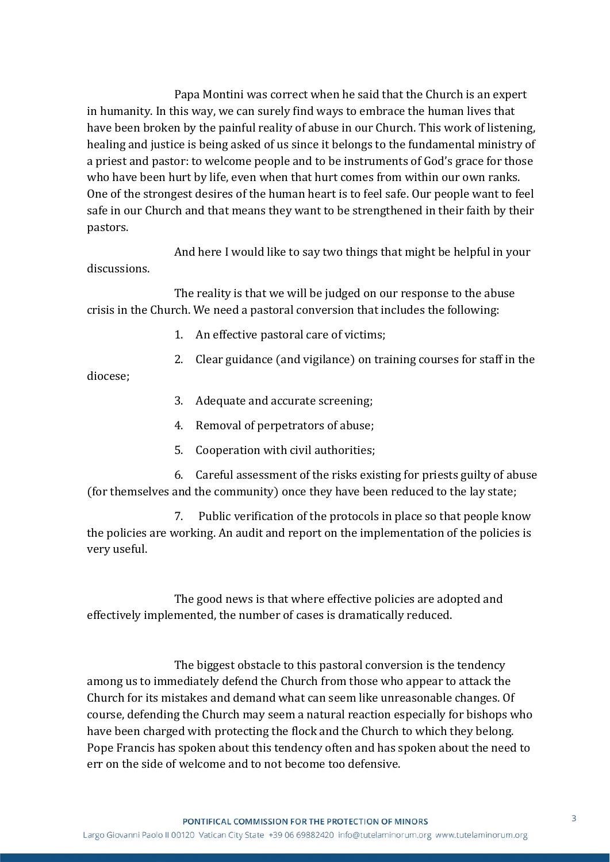Papa Montini was correct when he said that the Church is an expert in humanity. In this way, we can surely find ways to embrace the human lives that have been broken by the painful reality of abuse in our Church. This work of listening, healing and justice is being asked of us since it belongs to the fundamental ministry of a priest and pastor: to welcome people and to be instruments of God's grace for those who have been hurt by life, even when that hurt comes from within our own ranks. One of the strongest desires of the human heart is to feel safe. Our people want to feel safe in our Church and that means they want to be strengthened in their faith by their pastors.

And here I would like to say two things that might be helpful in your discussions.

The reality is that we will be judged on our response to the abuse crisis in the Church. We need a pastoral conversion that includes the following:

- 1. An effective pastoral care of victims;
- 2. Clear guidance (and vigilance) on training courses for staff in the

diocese;

- 3. Adequate and accurate screening;
- 4. Removal of perpetrators of abuse;
- 5. Cooperation with civil authorities;

6. Careful assessment of the risks existing for priests guilty of abuse (for themselves and the community) once they have been reduced to the lay state;

7. Public verification of the protocols in place so that people know the policies are working. An audit and report on the implementation of the policies is very useful.

The good news is that where effective policies are adopted and effectively implemented, the number of cases is dramatically reduced.

The biggest obstacle to this pastoral conversion is the tendency among us to immediately defend the Church from those who appear to attack the Church for its mistakes and demand what can seem like unreasonable changes. Of course, defending the Church may seem a natural reaction especially for bishops who have been charged with protecting the flock and the Church to which they belong. Pope Francis has spoken about this tendency often and has spoken about the need to err on the side of welcome and to not become too defensive.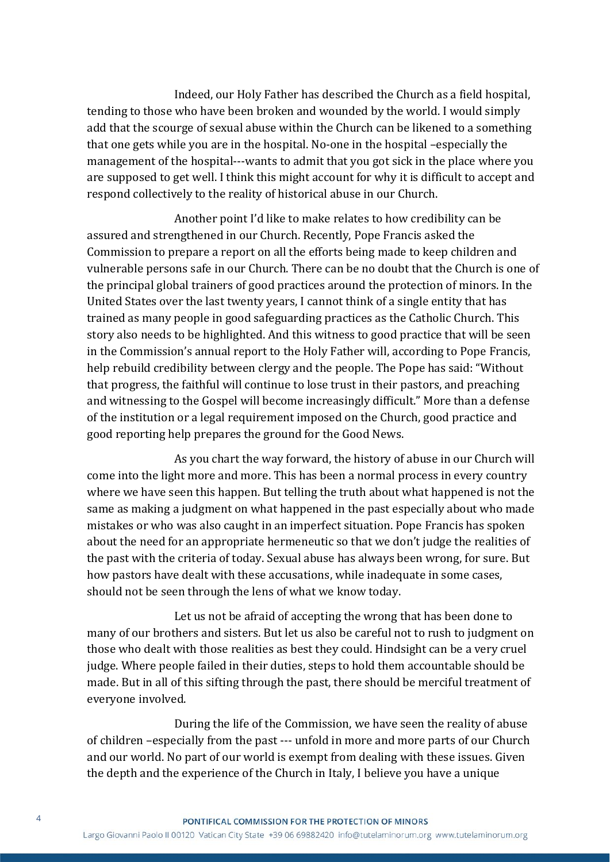Indeed, our Holy Father has described the Church as a field hospital, tending to those who have been broken and wounded by the world. I would simply add that the scourge of sexual abuse within the Church can be likened to a something that one gets while you are in the hospital. No-one in the hospital –especially the management of the hospital---wants to admit that you got sick in the place where you are supposed to get well. I think this might account for why it is difficult to accept and respond collectively to the reality of historical abuse in our Church.

Another point I'd like to make relates to how credibility can be assured and strengthened in our Church. Recently, Pope Francis asked the Commission to prepare a report on all the efforts being made to keep children and vulnerable persons safe in our Church. There can be no doubt that the Church is one of the principal global trainers of good practices around the protection of minors. In the United States over the last twenty years, I cannot think of a single entity that has trained as many people in good safeguarding practices as the Catholic Church. This story also needs to be highlighted. And this witness to good practice that will be seen in the Commission's annual report to the Holy Father will, according to Pope Francis, help rebuild credibility between clergy and the people. The Pope has said: "Without that progress, the faithful will continue to lose trust in their pastors, and preaching and witnessing to the Gospel will become increasingly difficult." More than a defense of the institution or a legal requirement imposed on the Church, good practice and good reporting help prepares the ground for the Good News.

As you chart the way forward, the history of abuse in our Church will come into the light more and more. This has been a normal process in every country where we have seen this happen. But telling the truth about what happened is not the same as making a judgment on what happened in the past especially about who made mistakes or who was also caught in an imperfect situation. Pope Francis has spoken about the need for an appropriate hermeneutic so that we don't judge the realities of the past with the criteria of today. Sexual abuse has always been wrong, for sure. But how pastors have dealt with these accusations, while inadequate in some cases, should not be seen through the lens of what we know today.

Let us not be afraid of accepting the wrong that has been done to many of our brothers and sisters. But let us also be careful not to rush to judgment on those who dealt with those realities as best they could. Hindsight can be a very cruel judge. Where people failed in their duties, steps to hold them accountable should be made. But in all of this sifting through the past, there should be merciful treatment of everyone involved.

During the life of the Commission, we have seen the reality of abuse of children –especially from the past --- unfold in more and more parts of our Church and our world. No part of our world is exempt from dealing with these issues. Given the depth and the experience of the Church in Italy, I believe you have a unique